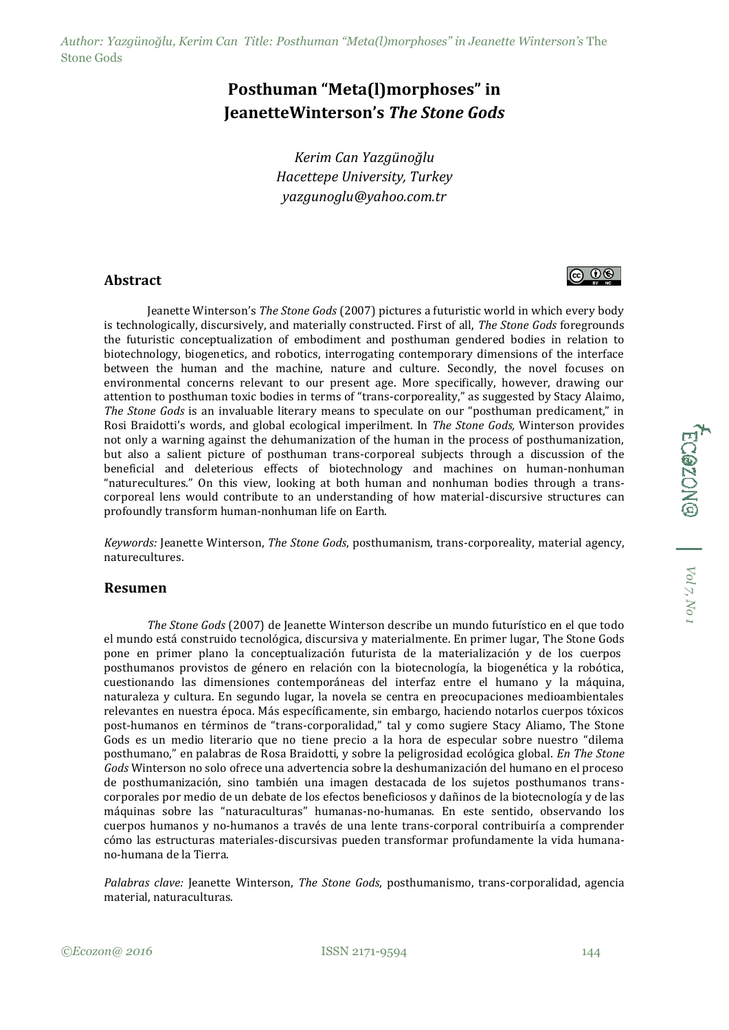*Author: Yazgünoğlu, Kerim Can Title: Posthuman "Meta(l)morphoses" in Jeanette Winterson's* The Stone Gods

## **Posthuman "Meta(l)morphoses" in JeanetteWinterson's** *The Stone Gods*

*Kerim Can Yazgünoğlu Hacettepe University, Turkey yazgunoglu@yahoo.com.tr*

## **Abstract**

Jeanette Winterson's *The Stone Gods* (2007) pictures a futuristic world in which every body is technologically, discursively, and materially constructed. First of all, *The Stone Gods* foregrounds the futuristic conceptualization of embodiment and posthuman gendered bodies in relation to biotechnology, biogenetics, and robotics, interrogating contemporary dimensions of the interface between the human and the machine, nature and culture. Secondly, the novel focuses on environmental concerns relevant to our present age. More specifically, however, drawing our attention to posthuman toxic bodies in terms of "trans-corporeality," as suggested by Stacy Alaimo, *The Stone Gods* is an invaluable literary means to speculate on our "posthuman predicament," in Rosi Braidotti's words, and global ecological imperilment. In *The Stone Gods,* Winterson provides not only a warning against the dehumanization of the human in the process of posthumanization, but also a salient picture of posthuman trans-corporeal subjects through a discussion of the beneficial and deleterious effects of biotechnology and machines on human-nonhuman "naturecultures." On this view, looking at both human and nonhuman bodies through a transcorporeal lens would contribute to an understanding of how material-discursive structures can profoundly transform human-nonhuman life on Earth.

*Keywords:* Jeanette Winterson, *The Stone Gods*, posthumanism, trans-corporeality, material agency, naturecultures.

## **Resumen**

*The Stone Gods* (2007) de Jeanette Winterson describe un mundo futurístico en el que todo el mundo está construido tecnológica, discursiva y materialmente. En primer lugar, The Stone Gods pone en primer plano la conceptualización futurista de la materialización y de los cuerpos posthumanos provistos de género en relación con la biotecnología, la biogenética y la robótica, cuestionando las dimensiones contemporáneas del interfaz entre el humano y la máquina, naturaleza y cultura. En segundo lugar, la novela se centra en preocupaciones medioambientales relevantes en nuestra época. Más específicamente, sin embargo, haciendo notarlos cuerpos tóxicos post-humanos en términos de "trans-corporalidad," tal y como sugiere Stacy Aliamo, The Stone Gods es un medio literario que no tiene precio a la hora de especular sobre nuestro "dilema posthumano," en palabras de Rosa Braidotti, y sobre la peligrosidad ecológica global. *En The Stone Gods* Winterson no solo ofrece una advertencia sobre la deshumanización del humano en el proceso de posthumanización, sino también una imagen destacada de los sujetos posthumanos transcorporales por medio de un debate de los efectos beneficiosos y dañinos de la biotecnología y de las máquinas sobre las "naturaculturas" humanas-no-humanas. En este sentido, observando los cuerpos humanos y no-humanos a través de una lente trans-corporal contribuiría a comprender cómo las estructuras materiales-discursivas pueden transformar profundamente la vida humanano-humana de la Tierra.

*Palabras clave:* Jeanette Winterson, *The Stone Gods*, posthumanismo, trans-corporalidad, agencia material, naturaculturas.

 $\circledcirc$   $\circledcirc$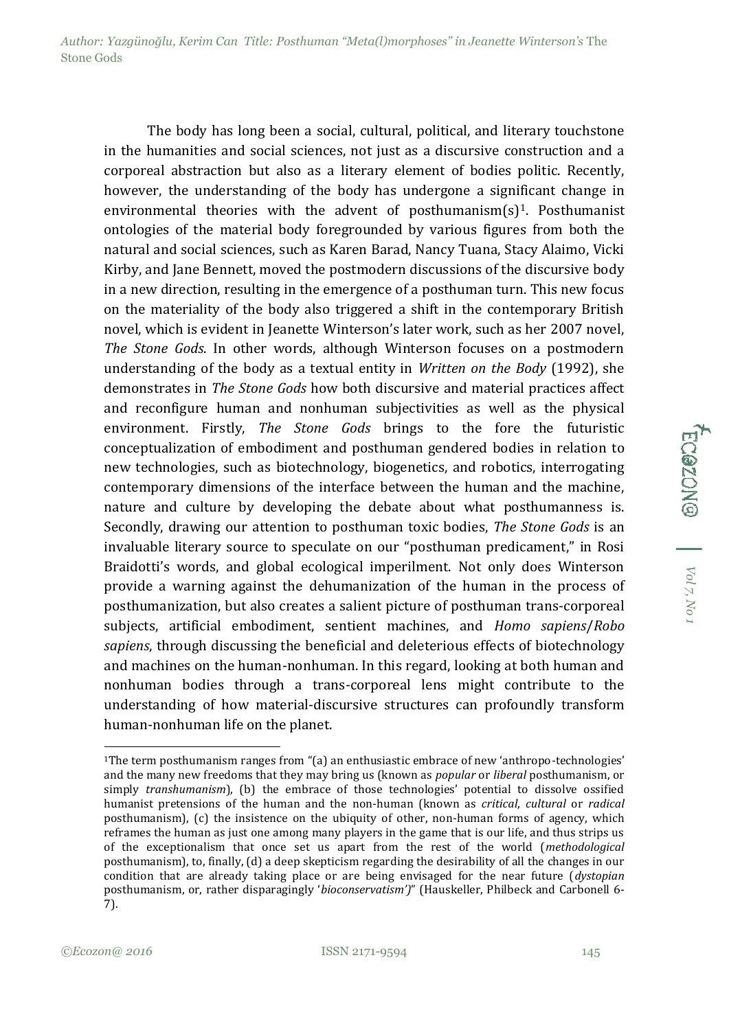*Author: Yazgünoğlu, Kerim Can Title: Posthuman "Meta(l)morphoses" in Jeanette Winterson's* The Stone Gods

The body has long been a social, cultural, political, and literary touchstone in the humanities and social sciences, not just as a discursive construction and a corporeal abstraction but also as a literary element of bodies politic. Recently, however, the understanding of the body has undergone a significant change in environmental theories with the advent of posthumanism $(s)^1$ . Posthumanist ontologies of the material body foregrounded by various figures from both the natural and social sciences, such as Karen Barad, Nancy Tuana, Stacy Alaimo, Vicki Kirby, and Jane Bennett, moved the postmodern discussions of the discursive body in a new direction, resulting in the emergence of a posthuman turn. This new focus on the materiality of the body also triggered a shift in the contemporary British novel, which is evident in Jeanette Winterson's later work, such as her 2007 novel, *The Stone Gods*. In other words, although Winterson focuses on a postmodern understanding of the body as a textual entity in *Written on the Body* (1992), she demonstrates in *The Stone Gods* how both discursive and material practices affect and reconfigure human and nonhuman subjectivities as well as the physical environment. Firstly, *The Stone Gods* brings to the fore the futuristic conceptualization of embodiment and posthuman gendered bodies in relation to new technologies, such as biotechnology, biogenetics, and robotics, interrogating contemporary dimensions of the interface between the human and the machine, nature and culture by developing the debate about what posthumanness is. Secondly, drawing our attention to posthuman toxic bodies, *The Stone Gods* is an invaluable literary source to speculate on our "posthuman predicament," in Rosi Braidotti's words, and global ecological imperilment. Not only does Winterson provide a warning against the dehumanization of the human in the process of posthumanization, but also creates a salient picture of posthuman trans-corporeal subjects, artificial embodiment, sentient machines, and *Homo sapiens*/*Robo sapiens*, through discussing the beneficial and deleterious effects of biotechnology and machines on the human-nonhuman. In this regard, looking at both human and nonhuman bodies through a trans-corporeal lens might contribute to the understanding of how material-discursive structures can profoundly transform human-nonhuman life on the planet.

-

ECOZON<sup>@</sup> | <sup>Vol7, No</sub></sup>

<sup>1</sup>The term posthumanism ranges from "(a) an enthusiastic embrace of new 'anthropo-technologies' and the many new freedoms that they may bring us (known as *popular* or *liberal* posthumanism, or simply *transhumanism*), (b) the embrace of those technologies' potential to dissolve ossified humanist pretensions of the human and the non-human (known as *critical*, *cultural* or *radical*  posthumanism), (c) the insistence on the ubiquity of other, non-human forms of agency, which reframes the human as just one among many players in the game that is our life, and thus strips us of the exceptionalism that once set us apart from the rest of the world (*methodological*  posthumanism), to, finally, (d) a deep skepticism regarding the desirability of all the changes in our condition that are already taking place or are being envisaged for the near future (*dystopian*  posthumanism, or, rather disparagingly '*bioconservatism')*" (Hauskeller, Philbeck and Carbonell 6- 7).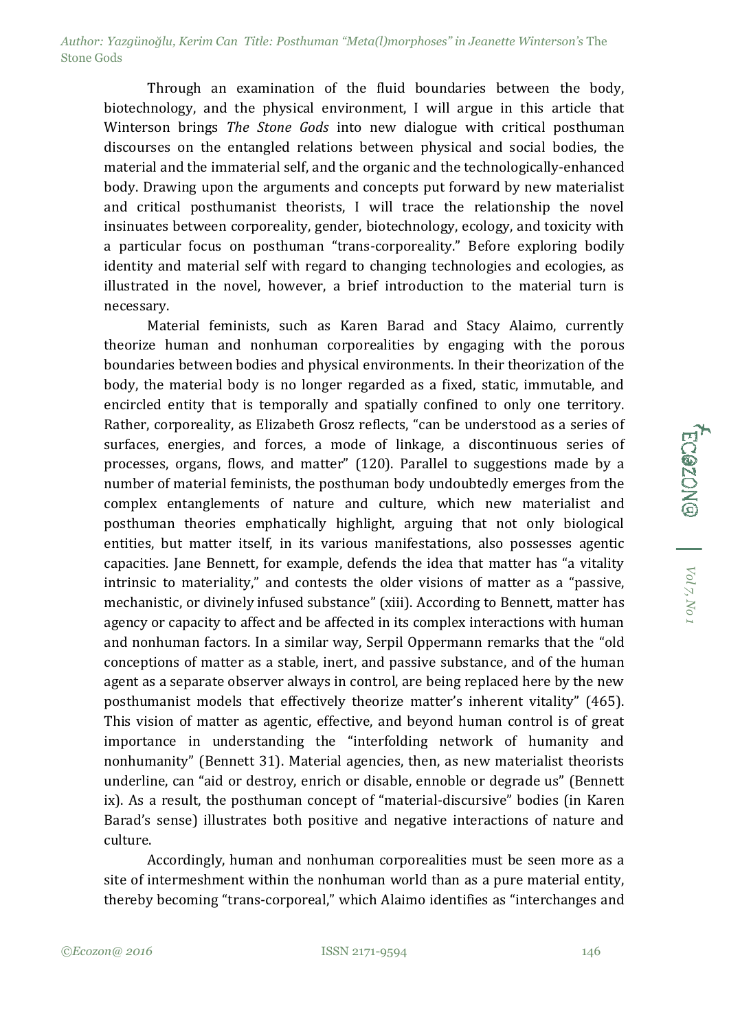Through an examination of the fluid boundaries between the body, biotechnology, and the physical environment, I will argue in this article that Winterson brings *The Stone Gods* into new dialogue with critical posthuman discourses on the entangled relations between physical and social bodies, the material and the immaterial self, and the organic and the technologically-enhanced body. Drawing upon the arguments and concepts put forward by new materialist and critical posthumanist theorists, I will trace the relationship the novel insinuates between corporeality, gender, biotechnology, ecology, and toxicity with a particular focus on posthuman "trans-corporeality." Before exploring bodily identity and material self with regard to changing technologies and ecologies, as illustrated in the novel, however, a brief introduction to the material turn is necessary.

Material feminists, such as Karen Barad and Stacy Alaimo, currently theorize human and nonhuman corporealities by engaging with the porous boundaries between bodies and physical environments. In their theorization of the body, the material body is no longer regarded as a fixed, static, immutable, and encircled entity that is temporally and spatially confined to only one territory. Rather, corporeality, as Elizabeth Grosz reflects, "can be understood as a series of surfaces, energies, and forces, a mode of linkage, a discontinuous series of processes, organs, flows, and matter" (120). Parallel to suggestions made by a number of material feminists, the posthuman body undoubtedly emerges from the complex entanglements of nature and culture, which new materialist and posthuman theories emphatically highlight, arguing that not only biological entities, but matter itself, in its various manifestations, also possesses agentic capacities. Jane Bennett, for example, defends the idea that matter has "a vitality intrinsic to materiality," and contests the older visions of matter as a "passive, mechanistic, or divinely infused substance" (xiii). According to Bennett, matter has agency or capacity to affect and be affected in its complex interactions with human and nonhuman factors. In a similar way, Serpil Oppermann remarks that the "old conceptions of matter as a stable, inert, and passive substance, and of the human agent as a separate observer always in control, are being replaced here by the new posthumanist models that effectively theorize matter's inherent vitality" (465). This vision of matter as agentic, effective, and beyond human control is of great importance in understanding the "interfolding network of humanity and nonhumanity" (Bennett 31). Material agencies, then, as new materialist theorists underline, can "aid or destroy, enrich or disable, ennoble or degrade us" (Bennett ix). As a result, the posthuman concept of "material-discursive" bodies (in Karen Barad's sense) illustrates both positive and negative interactions of nature and culture.

Accordingly, human and nonhuman corporealities must be seen more as a site of intermeshment within the nonhuman world than as a pure material entity, thereby becoming "trans-corporeal," which Alaimo identifies as "interchanges and FC@ZON@ | Vol7, No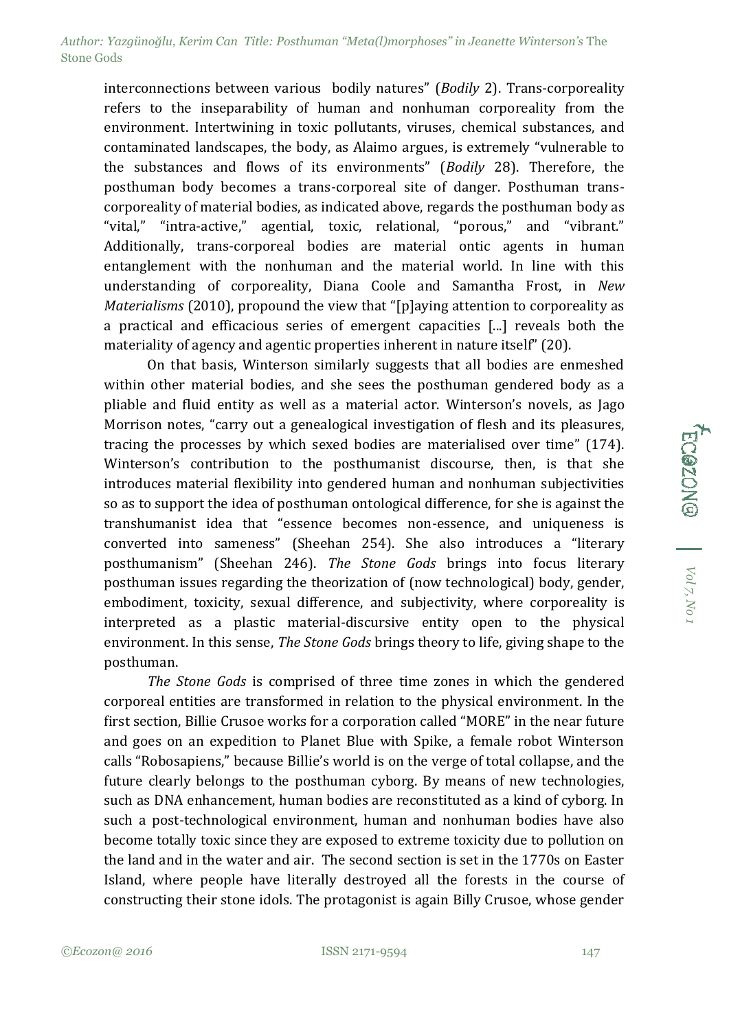interconnections between various bodily natures" (*Bodily* 2). Trans-corporeality refers to the inseparability of human and nonhuman corporeality from the environment. Intertwining in toxic pollutants, viruses, chemical substances, and contaminated landscapes, the body, as Alaimo argues, is extremely "vulnerable to the substances and flows of its environments" (*Bodily* 28). Therefore, the posthuman body becomes a trans-corporeal site of danger. Posthuman transcorporeality of material bodies, as indicated above, regards the posthuman body as "vital," "intra-active," agential, toxic, relational, "porous," and "vibrant." Additionally, trans-corporeal bodies are material ontic agents in human entanglement with the nonhuman and the material world. In line with this understanding of corporeality, Diana Coole and Samantha Frost, in *New Materialisms* (2010), propound the view that "[p]aying attention to corporeality as a practical and efficacious series of emergent capacities [...] reveals both the materiality of agency and agentic properties inherent in nature itself" (20).

On that basis, Winterson similarly suggests that all bodies are enmeshed within other material bodies, and she sees the posthuman gendered body as a pliable and fluid entity as well as a material actor. Winterson's novels, as Jago Morrison notes, "carry out a genealogical investigation of flesh and its pleasures, tracing the processes by which sexed bodies are materialised over time" (174). Winterson's contribution to the posthumanist discourse, then, is that she introduces material flexibility into gendered human and nonhuman subjectivities so as to support the idea of posthuman ontological difference, for she is against the transhumanist idea that "essence becomes non-essence, and uniqueness is converted into sameness" (Sheehan 254). She also introduces a "literary posthumanism" (Sheehan 246). *The Stone Gods* brings into focus literary posthuman issues regarding the theorization of (now technological) body, gender, embodiment, toxicity, sexual difference, and subjectivity, where corporeality is interpreted as a plastic material-discursive entity open to the physical environment. In this sense, *The Stone Gods* brings theory to life, giving shape to the posthuman.

*The Stone Gods* is comprised of three time zones in which the gendered corporeal entities are transformed in relation to the physical environment. In the first section, Billie Crusoe works for a corporation called "MORE" in the near future and goes on an expedition to Planet Blue with Spike, a female robot Winterson calls "Robosapiens," because Billie's world is on the verge of total collapse, and the future clearly belongs to the posthuman cyborg. By means of new technologies, such as DNA enhancement, human bodies are reconstituted as a kind of cyborg. In such a post-technological environment, human and nonhuman bodies have also become totally toxic since they are exposed to extreme toxicity due to pollution on the land and in the water and air. The second section is set in the 1770s on Easter Island, where people have literally destroyed all the forests in the course of constructing their stone idols. The protagonist is again Billy Crusoe, whose gender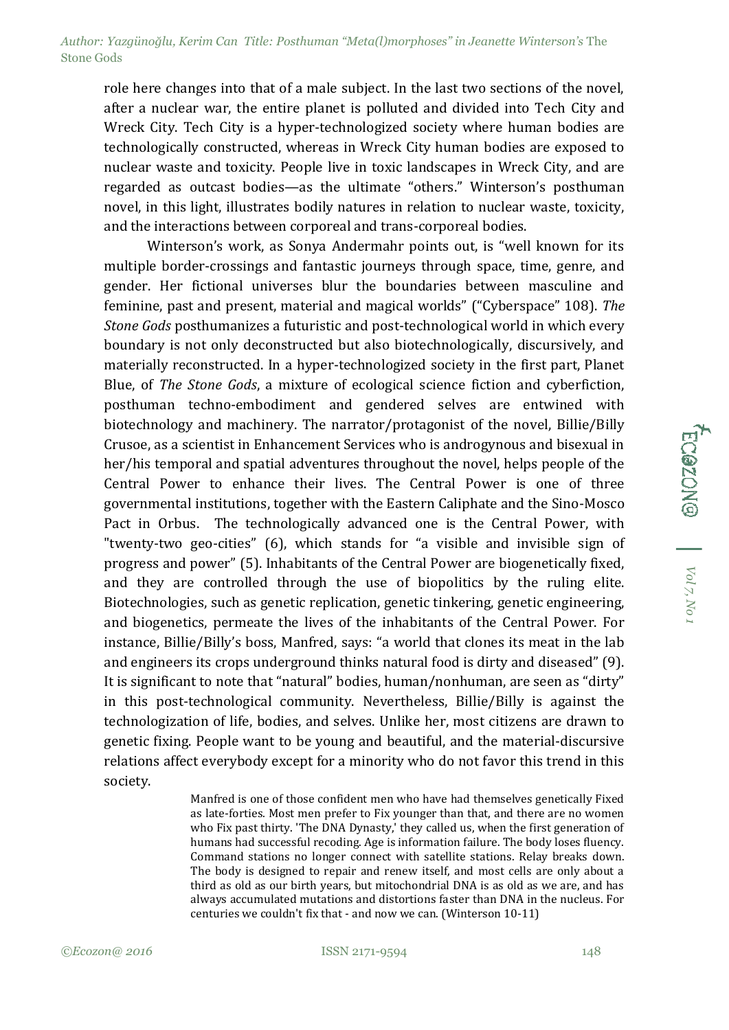role here changes into that of a male subject. In the last two sections of the novel, after a nuclear war, the entire planet is polluted and divided into Tech City and Wreck City. Tech City is a hyper-technologized society where human bodies are technologically constructed, whereas in Wreck City human bodies are exposed to nuclear waste and toxicity. People live in toxic landscapes in Wreck City, and are regarded as outcast bodies—as the ultimate "others." Winterson's posthuman novel, in this light, illustrates bodily natures in relation to nuclear waste, toxicity, and the interactions between corporeal and trans-corporeal bodies.

Winterson's work, as Sonya Andermahr points out, is "well known for its multiple border-crossings and fantastic journeys through space, time, genre, and gender. Her fictional universes blur the boundaries between masculine and feminine, past and present, material and magical worlds" ("Cyberspace" 108). *The Stone Gods* posthumanizes a futuristic and post-technological world in which every boundary is not only deconstructed but also biotechnologically, discursively, and materially reconstructed. In a hyper-technologized society in the first part, Planet Blue, of *The Stone Gods*, a mixture of ecological science fiction and cyberfiction, posthuman techno-embodiment and gendered selves are entwined with biotechnology and machinery. The narrator/protagonist of the novel, Billie/Billy Crusoe, as a scientist in Enhancement Services who is androgynous and bisexual in her/his temporal and spatial adventures throughout the novel, helps people of the Central Power to enhance their lives. The Central Power is one of three governmental institutions, together with the Eastern Caliphate and the Sino-Mosco Pact in Orbus. The technologically advanced one is the Central Power, with "twenty-two geo-cities" (6), which stands for "a visible and invisible sign of progress and power" (5). Inhabitants of the Central Power are biogenetically fixed, and they are controlled through the use of biopolitics by the ruling elite. Biotechnologies, such as genetic replication, genetic tinkering, genetic engineering, and biogenetics, permeate the lives of the inhabitants of the Central Power. For instance, Billie/Billy's boss, Manfred, says: "a world that clones its meat in the lab and engineers its crops underground thinks natural food is dirty and diseased" (9). It is significant to note that "natural" bodies, human/nonhuman, are seen as "dirty" in this post-technological community. Nevertheless, Billie/Billy is against the technologization of life, bodies, and selves. Unlike her, most citizens are drawn to genetic fixing. People want to be young and beautiful, and the material-discursive relations affect everybody except for a minority who do not favor this trend in this society.

> Manfred is one of those confident men who have had themselves genetically Fixed as late-forties. Most men prefer to Fix younger than that, and there are no women who Fix past thirty. 'The DNA Dynasty,' they called us, when the first generation of humans had successful recoding. Age is information failure. The body loses fluency. Command stations no longer connect with satellite stations. Relay breaks down. The body is designed to repair and renew itself, and most cells are only about a third as old as our birth years, but mitochondrial DNA is as old as we are, and has always accumulated mutations and distortions faster than DNA in the nucleus. For centuries we couldn't fix that - and now we can. (Winterson 10-11)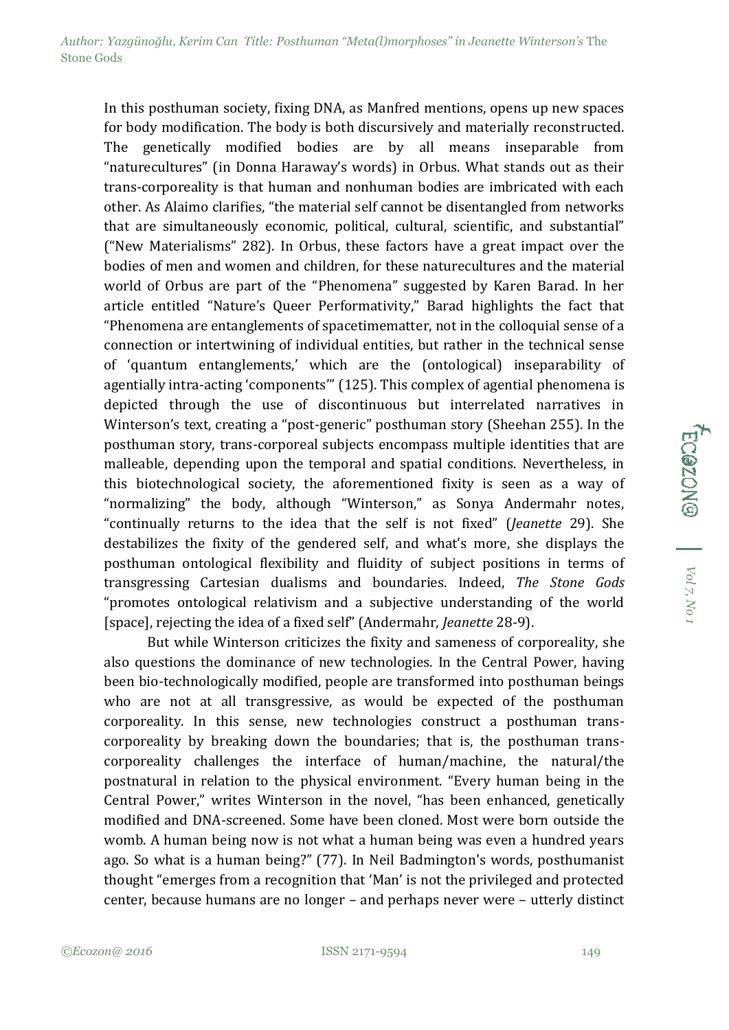In this posthuman society, fixing DNA, as Manfred mentions, opens up new spaces for body modification. The body is both discursively and materially reconstructed. The genetically modified bodies are by all means inseparable from "naturecultures" (in Donna Haraway's words) in Orbus. What stands out as their trans-corporeality is that human and nonhuman bodies are imbricated with each other. As Alaimo clarifies, "the material self cannot be disentangled from networks that are simultaneously economic, political, cultural, scientific, and substantial" ("New Materialisms" 282). In Orbus, these factors have a great impact over the bodies of men and women and children, for these naturecultures and the material world of Orbus are part of the "Phenomena" suggested by Karen Barad. In her article entitled "Nature's Queer Performativity," Barad highlights the fact that "Phenomena are entanglements of spacetimematter, not in the colloquial sense of a connection or intertwining of individual entities, but rather in the technical sense of 'quantum entanglements,' which are the (ontological) inseparability of agentially intra-acting 'components'" (125). This complex of agential phenomena is depicted through the use of discontinuous but interrelated narratives in Winterson's text, creating a "post-generic" posthuman story (Sheehan 255). In the posthuman story, trans-corporeal subjects encompass multiple identities that are malleable, depending upon the temporal and spatial conditions. Nevertheless, in this biotechnological society, the aforementioned fixity is seen as a way of "normalizing" the body, although "Winterson," as Sonya Andermahr notes, "continually returns to the idea that the self is not fixed" (*Jeanette* 29). She destabilizes the fixity of the gendered self, and what's more, she displays the posthuman ontological flexibility and fluidity of subject positions in terms of transgressing Cartesian dualisms and boundaries. Indeed, *The Stone Gods* "promotes ontological relativism and a subjective understanding of the world [space], rejecting the idea of a fixed self" (Andermahr, *Jeanette* 28-9).

But while Winterson criticizes the fixity and sameness of corporeality, she also questions the dominance of new technologies. In the Central Power, having been bio-technologically modified, people are transformed into posthuman beings who are not at all transgressive, as would be expected of the posthuman corporeality. In this sense, new technologies construct a posthuman transcorporeality by breaking down the boundaries; that is, the posthuman transcorporeality challenges the interface of human/machine, the natural/the postnatural in relation to the physical environment. "Every human being in the Central Power," writes Winterson in the novel, "has been enhanced, genetically modified and DNA-screened. Some have been cloned. Most were born outside the womb. A human being now is not what a human being was even a hundred years ago. So what is a human being?" (77). In Neil Badmington's words, posthumanist thought "emerges from a recognition that 'Man' is not the privileged and protected center, because humans are no longer – and perhaps never were – utterly distinct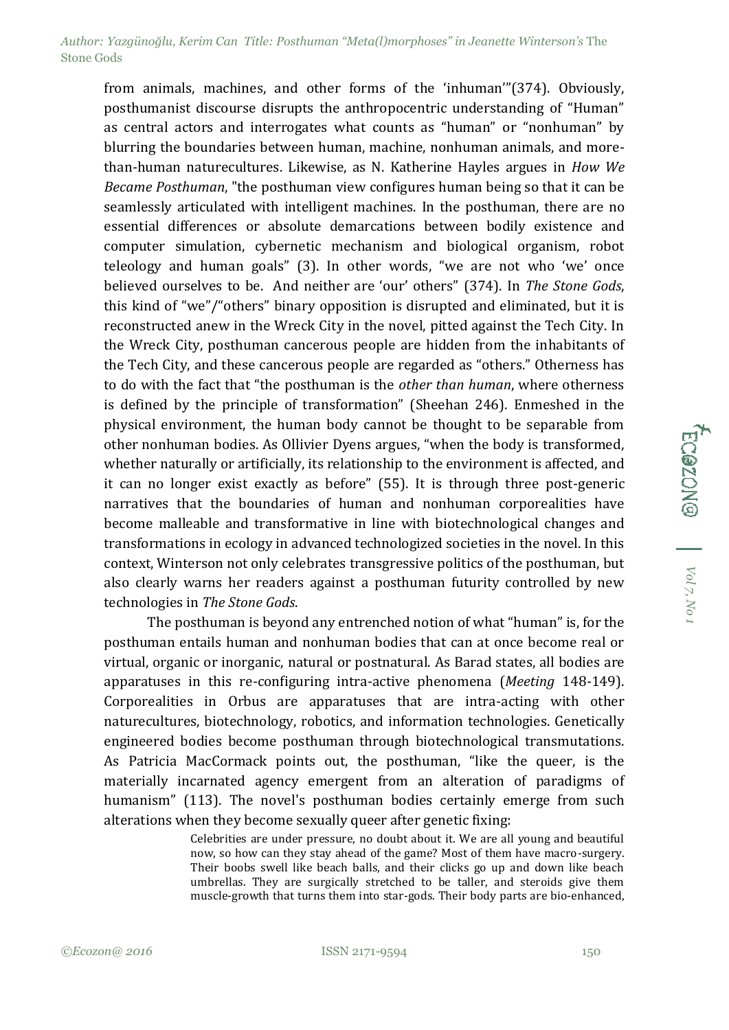from animals, machines, and other forms of the 'inhuman'"(374). Obviously, posthumanist discourse disrupts the anthropocentric understanding of "Human" as central actors and interrogates what counts as "human" or "nonhuman" by blurring the boundaries between human, machine, nonhuman animals, and morethan-human naturecultures. Likewise, as N. Katherine Hayles argues in *How We Became Posthuman*, "the posthuman view configures human being so that it can be seamlessly articulated with intelligent machines. In the posthuman, there are no essential differences or absolute demarcations between bodily existence and computer simulation, cybernetic mechanism and biological organism, robot teleology and human goals" (3). In other words, "we are not who 'we' once believed ourselves to be. And neither are 'our' others" (374). In *The Stone Gods*, this kind of "we"/"others" binary opposition is disrupted and eliminated, but it is reconstructed anew in the Wreck City in the novel, pitted against the Tech City. In the Wreck City, posthuman cancerous people are hidden from the inhabitants of the Tech City, and these cancerous people are regarded as "others." Otherness has to do with the fact that "the posthuman is the *other than human*, where otherness is defined by the principle of transformation" (Sheehan 246). Enmeshed in the physical environment, the human body cannot be thought to be separable from other nonhuman bodies. As Ollivier Dyens argues, "when the body is transformed, whether naturally or artificially, its relationship to the environment is affected, and it can no longer exist exactly as before" (55). It is through three post-generic narratives that the boundaries of human and nonhuman corporealities have become malleable and transformative in line with biotechnological changes and transformations in ecology in advanced technologized societies in the novel. In this context, Winterson not only celebrates transgressive politics of the posthuman, but also clearly warns her readers against a posthuman futurity controlled by new technologies in *The Stone Gods*.

The posthuman is beyond any entrenched notion of what "human" is, for the posthuman entails human and nonhuman bodies that can at once become real or virtual, organic or inorganic, natural or postnatural. As Barad states, all bodies are apparatuses in this re-configuring intra-active phenomena (*Meeting* 148-149). Corporealities in Orbus are apparatuses that are intra-acting with other naturecultures, biotechnology, robotics, and information technologies. Genetically engineered bodies become posthuman through biotechnological transmutations. As Patricia MacCormack points out, the posthuman, "like the queer, is the materially incarnated agency emergent from an alteration of paradigms of humanism" (113). The novel's posthuman bodies certainly emerge from such alterations when they become sexually queer after genetic fixing:

> Celebrities are under pressure, no doubt about it. We are all young and beautiful now, so how can they stay ahead of the game? Most of them have macro-surgery. Their boobs swell like beach balls, and their clicks go up and down like beach umbrellas. They are surgically stretched to be taller, and steroids give them muscle-growth that turns them into star-gods. Their body parts are bio-enhanced,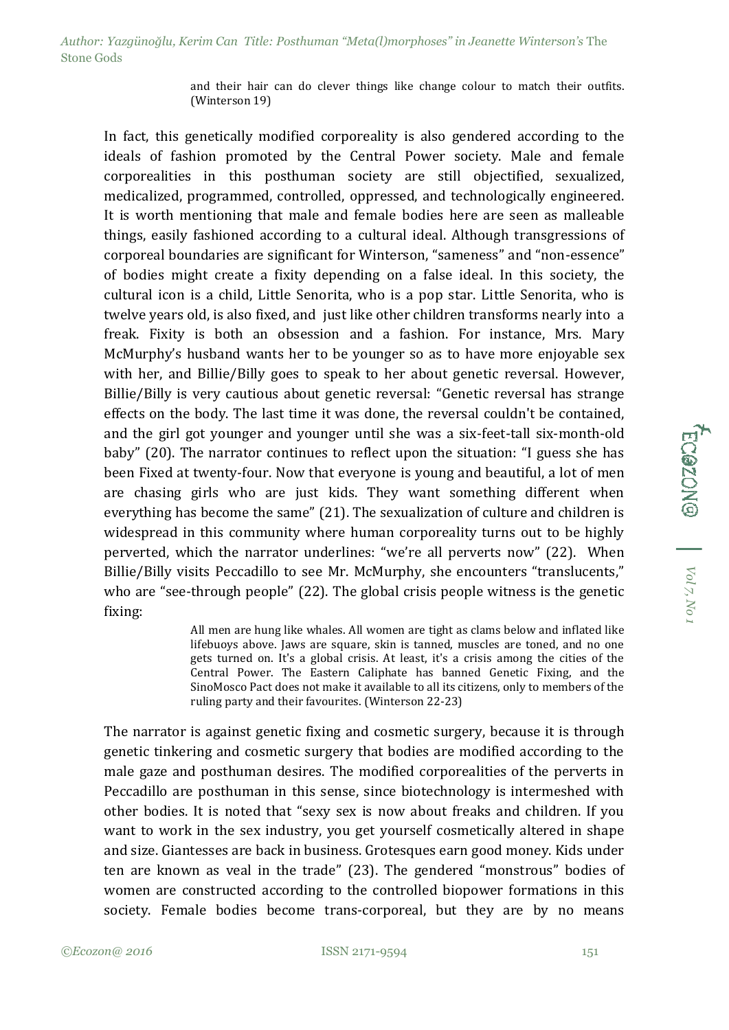and their hair can do clever things like change colour to match their outfits. (Winterson 19)

In fact, this genetically modified corporeality is also gendered according to the ideals of fashion promoted by the Central Power society. Male and female corporealities in this posthuman society are still objectified, sexualized, medicalized, programmed, controlled, oppressed, and technologically engineered. It is worth mentioning that male and female bodies here are seen as malleable things, easily fashioned according to a cultural ideal. Although transgressions of corporeal boundaries are significant for Winterson, "sameness" and "non-essence" of bodies might create a fixity depending on a false ideal. In this society, the cultural icon is a child, Little Senorita, who is a pop star. Little Senorita, who is twelve years old, is also fixed, and just like other children transforms nearly into a freak. Fixity is both an obsession and a fashion. For instance, Mrs. Mary McMurphy's husband wants her to be younger so as to have more enjoyable sex with her, and Billie/Billy goes to speak to her about genetic reversal. However, Billie/Billy is very cautious about genetic reversal: "Genetic reversal has strange effects on the body. The last time it was done, the reversal couldn't be contained, and the girl got younger and younger until she was a six-feet-tall six-month-old baby" (20). The narrator continues to reflect upon the situation: "I guess she has been Fixed at twenty-four. Now that everyone is young and beautiful, a lot of men are chasing girls who are just kids. They want something different when everything has become the same" (21). The sexualization of culture and children is widespread in this community where human corporeality turns out to be highly perverted, which the narrator underlines: "we're all perverts now" (22). When Billie/Billy visits Peccadillo to see Mr. McMurphy, she encounters "translucents," who are "see-through people" (22). The global crisis people witness is the genetic fixing:

> All men are hung like whales. All women are tight as clams below and inflated like lifebuoys above. Jaws are square, skin is tanned, muscles are toned, and no one gets turned on. It's a global crisis. At least, it's a crisis among the cities of the Central Power. The Eastern Caliphate has banned Genetic Fixing, and the SinoMosco Pact does not make it available to all its citizens, only to members of the ruling party and their favourites. (Winterson 22-23)

The narrator is against genetic fixing and cosmetic surgery, because it is through genetic tinkering and cosmetic surgery that bodies are modified according to the male gaze and posthuman desires. The modified corporealities of the perverts in Peccadillo are posthuman in this sense, since biotechnology is intermeshed with other bodies. It is noted that "sexy sex is now about freaks and children. If you want to work in the sex industry, you get yourself cosmetically altered in shape and size. Giantesses are back in business. Grotesques earn good money. Kids under ten are known as veal in the trade" (23). The gendered "monstrous" bodies of women are constructed according to the controlled biopower formations in this society. Female bodies become trans-corporeal, but they are by no means

FC@ZON@ | Vol<sub>7, No</sub>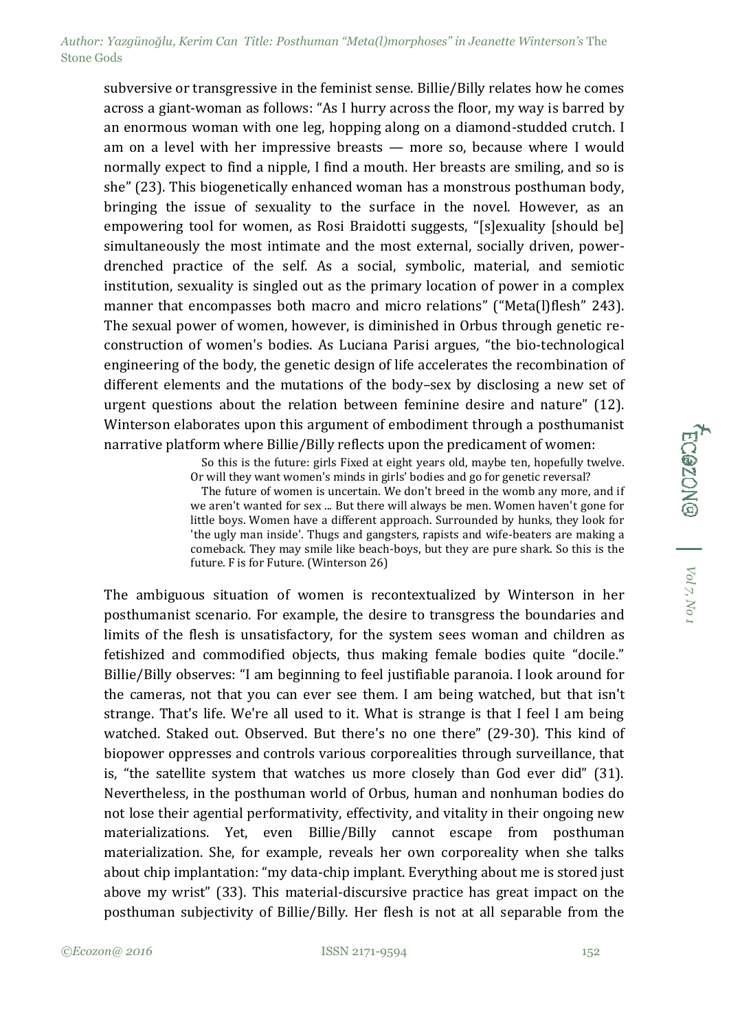subversive or transgressive in the feminist sense. Billie/Billy relates how he comes across a giant-woman as follows: "As I hurry across the floor, my way is barred by an enormous woman with one leg, hopping along on a diamond-studded crutch. I am on a level with her impressive breasts — more so, because where I would normally expect to find a nipple, I find a mouth. Her breasts are smiling, and so is she" (23). This biogenetically enhanced woman has a monstrous posthuman body, bringing the issue of sexuality to the surface in the novel. However, as an empowering tool for women, as Rosi Braidotti suggests, "[s]exuality [should be] simultaneously the most intimate and the most external, socially driven, powerdrenched practice of the self. As a social, symbolic, material, and semiotic institution, sexuality is singled out as the primary location of power in a complex manner that encompasses both macro and micro relations" ("Meta(l)flesh" 243). The sexual power of women, however, is diminished in Orbus through genetic reconstruction of women's bodies. As Luciana Parisi argues, "the bio-technological engineering of the body, the genetic design of life accelerates the recombination of different elements and the mutations of the body–sex by disclosing a new set of urgent questions about the relation between feminine desire and nature" (12). Winterson elaborates upon this argument of embodiment through a posthumanist narrative platform where Billie/Billy reflects upon the predicament of women:

> So this is the future: girls Fixed at eight years old, maybe ten, hopefully twelve. Or will they want women's minds in girls' bodies and go for genetic reversal?

> The future of women is uncertain. We don't breed in the womb any more, and if we aren't wanted for sex ... But there will always be men. Women haven't gone for little boys. Women have a different approach. Surrounded by hunks, they look for 'the ugly man inside'. Thugs and gangsters, rapists and wife-beaters are making a comeback. They may smile like beach-boys, but they are pure shark. So this is the future. F is for Future. (Winterson 26)

The ambiguous situation of women is recontextualized by Winterson in her posthumanist scenario. For example, the desire to transgress the boundaries and limits of the flesh is unsatisfactory, for the system sees woman and children as fetishized and commodified objects, thus making female bodies quite "docile." Billie/Billy observes: "I am beginning to feel justifiable paranoia. I look around for the cameras, not that you can ever see them. I am being watched, but that isn't strange. That's life. We're all used to it. What is strange is that I feel I am being watched. Staked out. Observed. But there's no one there" (29-30). This kind of biopower oppresses and controls various corporealities through surveillance, that is, "the satellite system that watches us more closely than God ever did" (31). Nevertheless, in the posthuman world of Orbus, human and nonhuman bodies do not lose their agential performativity, effectivity, and vitality in their ongoing new materializations. Yet, even Billie/Billy cannot escape from posthuman materialization. She, for example, reveals her own corporeality when she talks about chip implantation: "my data-chip implant. Everything about me is stored just above my wrist" (33). This material-discursive practice has great impact on the posthuman subjectivity of Billie/Billy. Her flesh is not at all separable from the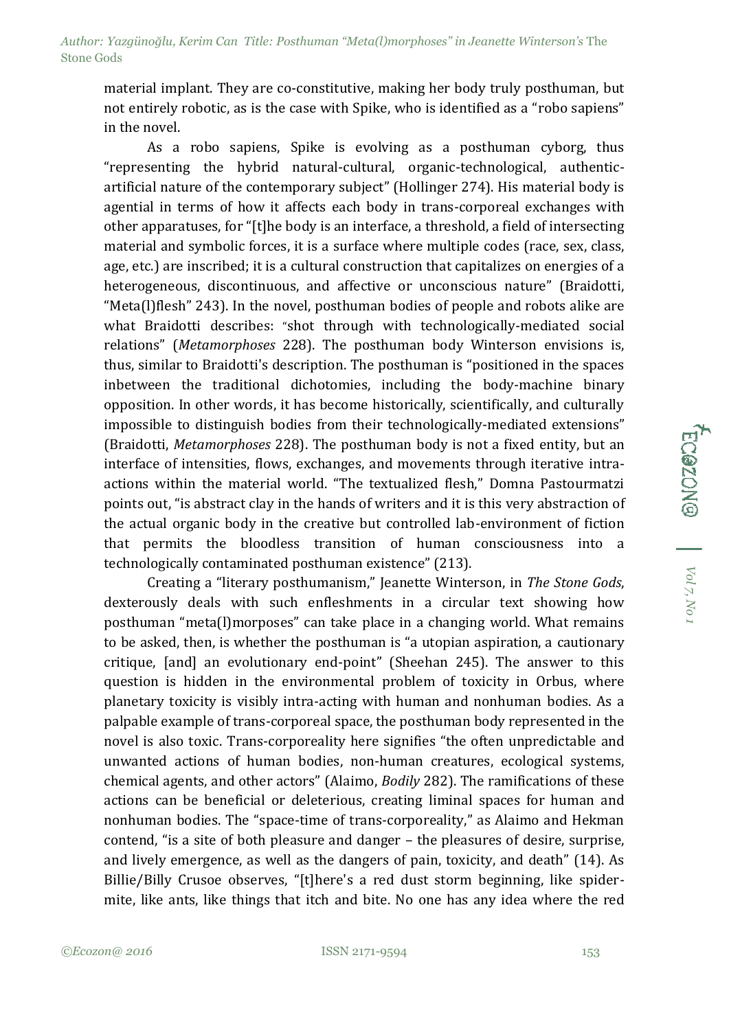material implant. They are co-constitutive, making her body truly posthuman, but not entirely robotic, as is the case with Spike, who is identified as a "robo sapiens" in the novel.

As a robo sapiens, Spike is evolving as a posthuman cyborg, thus "representing the hybrid natural-cultural, organic-technological, authenticartificial nature of the contemporary subject" (Hollinger 274). His material body is agential in terms of how it affects each body in trans-corporeal exchanges with other apparatuses, for "[t]he body is an interface, a threshold, a field of intersecting material and symbolic forces, it is a surface where multiple codes (race, sex, class, age, etc.) are inscribed; it is a cultural construction that capitalizes on energies of a heterogeneous, discontinuous, and affective or unconscious nature" (Braidotti, "Meta(l)flesh" 243). In the novel, posthuman bodies of people and robots alike are what Braidotti describes: "shot through with technologically-mediated social relations" (*Metamorphoses* 228). The posthuman body Winterson envisions is, thus, similar to Braidotti's description. The posthuman is "positioned in the spaces inbetween the traditional dichotomies, including the body-machine binary opposition. In other words, it has become historically, scientifically, and culturally impossible to distinguish bodies from their technologically-mediated extensions" (Braidotti, *Metamorphoses* 228). The posthuman body is not a fixed entity, but an interface of intensities, flows, exchanges, and movements through iterative intraactions within the material world. "The textualized flesh," Domna Pastourmatzi points out, "is abstract clay in the hands of writers and it is this very abstraction of the actual organic body in the creative but controlled lab-environment of fiction that permits the bloodless transition of human consciousness into a technologically contaminated posthuman existence" (213).

Creating a "literary posthumanism," Jeanette Winterson, in *The Stone Gods*, dexterously deals with such enfleshments in a circular text showing how posthuman "meta(l)morposes" can take place in a changing world. What remains to be asked, then, is whether the posthuman is "a utopian aspiration, a cautionary critique, [and] an evolutionary end-point" (Sheehan 245). The answer to this question is hidden in the environmental problem of toxicity in Orbus, where planetary toxicity is visibly intra-acting with human and nonhuman bodies. As a palpable example of trans-corporeal space, the posthuman body represented in the novel is also toxic. Trans-corporeality here signifies "the often unpredictable and unwanted actions of human bodies, non-human creatures, ecological systems, chemical agents, and other actors" (Alaimo, *Bodily* 282). The ramifications of these actions can be beneficial or deleterious, creating liminal spaces for human and nonhuman bodies. The "space-time of trans-corporeality," as Alaimo and Hekman contend, "is a site of both pleasure and danger – the pleasures of desire, surprise, and lively emergence, as well as the dangers of pain, toxicity, and death" (14). As Billie/Billy Crusoe observes, "[t]here's a red dust storm beginning, like spidermite, like ants, like things that itch and bite. No one has any idea where the red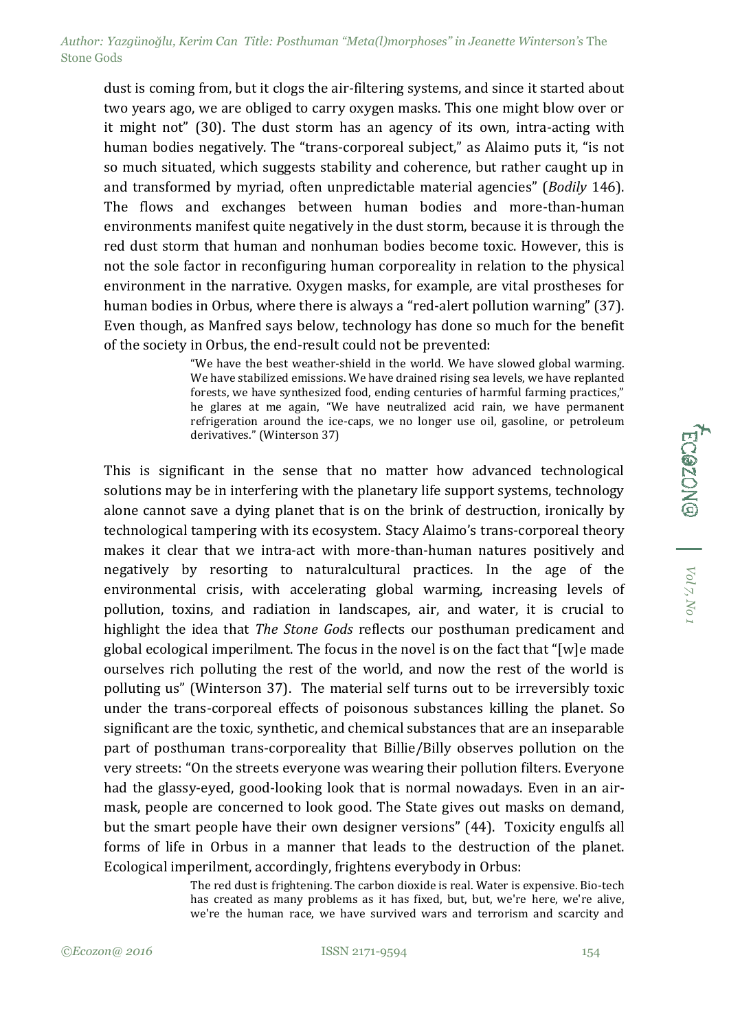dust is coming from, but it clogs the air-filtering systems, and since it started about two years ago, we are obliged to carry oxygen masks. This one might blow over or it might not" (30). The dust storm has an agency of its own, intra-acting with human bodies negatively. The "trans-corporeal subject," as Alaimo puts it, "is not so much situated, which suggests stability and coherence, but rather caught up in and transformed by myriad, often unpredictable material agencies" (*Bodily* 146). The flows and exchanges between human bodies and more-than-human environments manifest quite negatively in the dust storm, because it is through the red dust storm that human and nonhuman bodies become toxic. However, this is not the sole factor in reconfiguring human corporeality in relation to the physical environment in the narrative. Oxygen masks, for example, are vital prostheses for human bodies in Orbus, where there is always a "red-alert pollution warning" (37). Even though, as Manfred says below, technology has done so much for the benefit of the society in Orbus, the end-result could not be prevented:

> "We have the best weather-shield in the world. We have slowed global warming. We have stabilized emissions. We have drained rising sea levels, we have replanted forests, we have synthesized food, ending centuries of harmful farming practices," he glares at me again, "We have neutralized acid rain, we have permanent refrigeration around the ice-caps, we no longer use oil, gasoline, or petroleum derivatives." (Winterson 37)

This is significant in the sense that no matter how advanced technological solutions may be in interfering with the planetary life support systems, technology alone cannot save a dying planet that is on the brink of destruction, ironically by technological tampering with its ecosystem. Stacy Alaimo's trans-corporeal theory makes it clear that we intra-act with more-than-human natures positively and negatively by resorting to naturalcultural practices. In the age of the environmental crisis, with accelerating global warming, increasing levels of pollution, toxins, and radiation in landscapes, air, and water, it is crucial to highlight the idea that *The Stone Gods* reflects our posthuman predicament and global ecological imperilment. The focus in the novel is on the fact that "[w]e made ourselves rich polluting the rest of the world, and now the rest of the world is polluting us" (Winterson 37). The material self turns out to be irreversibly toxic under the trans-corporeal effects of poisonous substances killing the planet. So significant are the toxic, synthetic, and chemical substances that are an inseparable part of posthuman trans-corporeality that Billie/Billy observes pollution on the very streets: "On the streets everyone was wearing their pollution filters. Everyone had the glassy-eyed, good-looking look that is normal nowadays. Even in an airmask, people are concerned to look good. The State gives out masks on demand, but the smart people have their own designer versions" (44). Toxicity engulfs all forms of life in Orbus in a manner that leads to the destruction of the planet. Ecological imperilment, accordingly, frightens everybody in Orbus:

> The red dust is frightening. The carbon dioxide is real. Water is expensive. Bio-tech has created as many problems as it has fixed, but, but, we're here, we're alive, we're the human race, we have survived wars and terrorism and scarcity and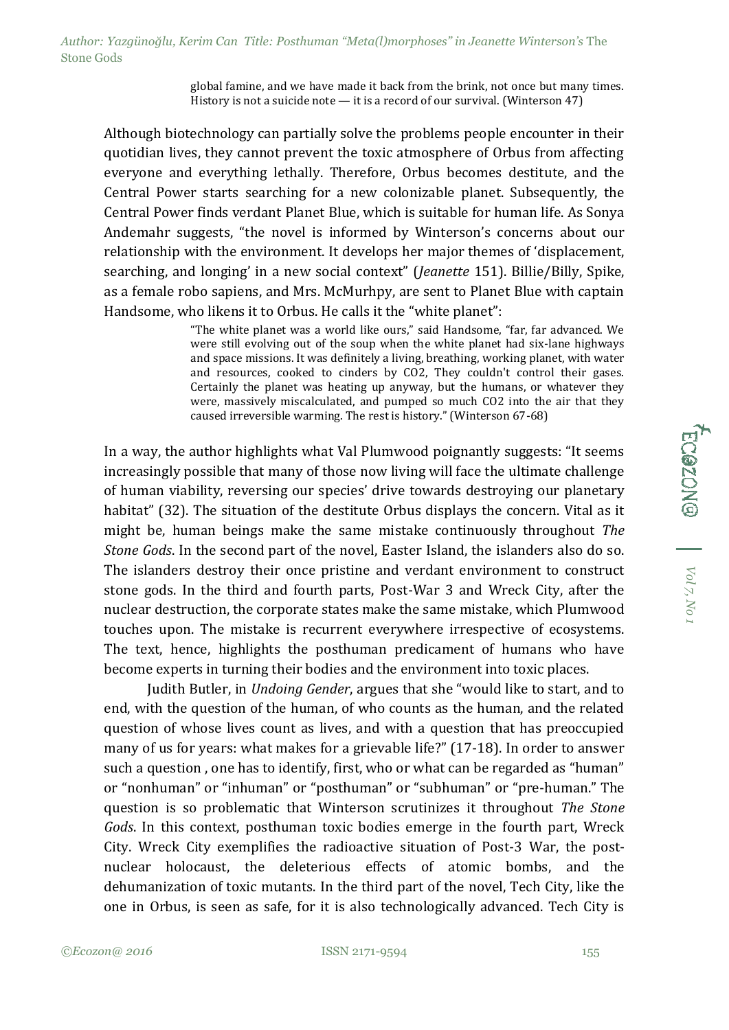global famine, and we have made it back from the brink, not once but many times. History is not a suicide note — it is a record of our survival. (Winterson 47)

Although biotechnology can partially solve the problems people encounter in their quotidian lives, they cannot prevent the toxic atmosphere of Orbus from affecting everyone and everything lethally. Therefore, Orbus becomes destitute, and the Central Power starts searching for a new colonizable planet. Subsequently, the Central Power finds verdant Planet Blue, which is suitable for human life. As Sonya Andemahr suggests, "the novel is informed by Winterson's concerns about our relationship with the environment. It develops her major themes of 'displacement, searching, and longing' in a new social context" (*Jeanette* 151). Billie/Billy, Spike, as a female robo sapiens, and Mrs. McMurhpy, are sent to Planet Blue with captain Handsome, who likens it to Orbus. He calls it the "white planet":

> "The white planet was a world like ours," said Handsome, "far, far advanced. We were still evolving out of the soup when the white planet had six-lane highways and space missions. It was definitely a living, breathing, working planet, with water and resources, cooked to cinders by CO2, They couldn't control their gases. Certainly the planet was heating up anyway, but the humans, or whatever they were, massively miscalculated, and pumped so much CO2 into the air that they caused irreversible warming. The rest is history." (Winterson 67-68)

In a way, the author highlights what Val Plumwood poignantly suggests: "It seems increasingly possible that many of those now living will face the ultimate challenge of human viability, reversing our species' drive towards destroying our planetary habitat" (32). The situation of the destitute Orbus displays the concern. Vital as it might be, human beings make the same mistake continuously throughout *The Stone Gods*. In the second part of the novel, Easter Island, the islanders also do so. The islanders destroy their once pristine and verdant environment to construct stone gods. In the third and fourth parts, Post-War 3 and Wreck City, after the nuclear destruction, the corporate states make the same mistake, which Plumwood touches upon. The mistake is recurrent everywhere irrespective of ecosystems. The text, hence, highlights the posthuman predicament of humans who have become experts in turning their bodies and the environment into toxic places.

Judith Butler, in *Undoing Gender*, argues that she "would like to start, and to end, with the question of the human, of who counts as the human, and the related question of whose lives count as lives, and with a question that has preoccupied many of us for years: what makes for a grievable life?" (17-18). In order to answer such a question , one has to identify, first, who or what can be regarded as "human" or "nonhuman" or "inhuman" or "posthuman" or "subhuman" or "pre-human." The question is so problematic that Winterson scrutinizes it throughout *The Stone Gods*. In this context, posthuman toxic bodies emerge in the fourth part, Wreck City. Wreck City exemplifies the radioactive situation of Post-3 War, the postnuclear holocaust, the deleterious effects of atomic bombs, and the dehumanization of toxic mutants. In the third part of the novel, Tech City, like the one in Orbus, is seen as safe, for it is also technologically advanced. Tech City is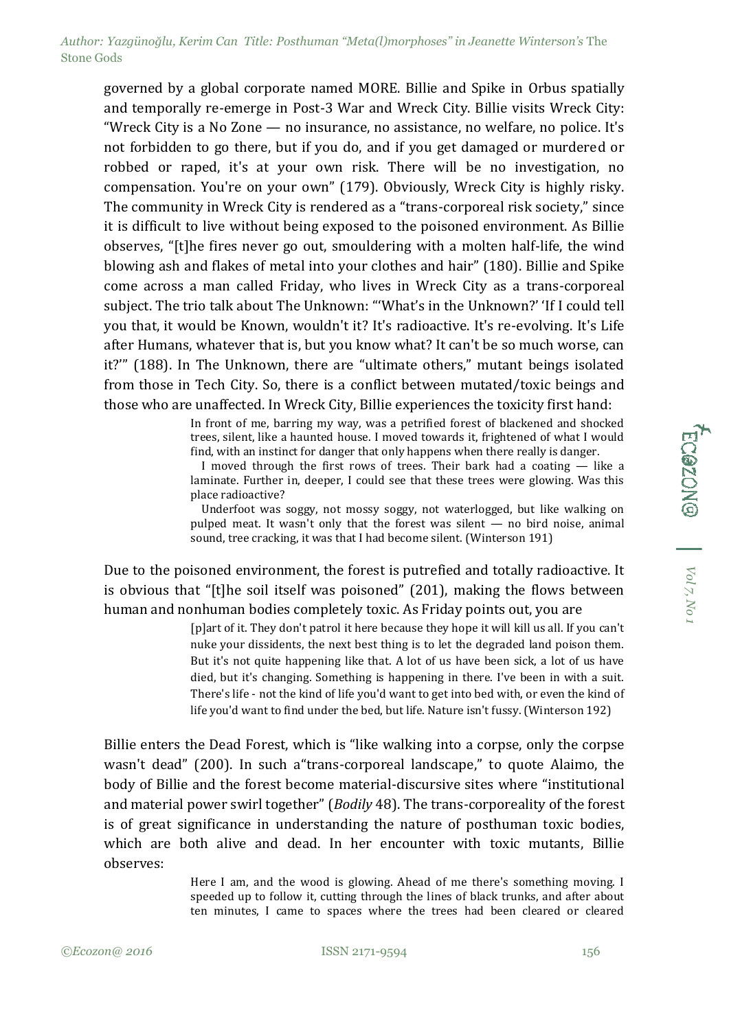governed by a global corporate named MORE. Billie and Spike in Orbus spatially and temporally re-emerge in Post-3 War and Wreck City. Billie visits Wreck City: "Wreck City is a No Zone — no insurance, no assistance, no welfare, no police. It's not forbidden to go there, but if you do, and if you get damaged or murdered or robbed or raped, it's at your own risk. There will be no investigation, no compensation. You're on your own" (179). Obviously, Wreck City is highly risky. The community in Wreck City is rendered as a "trans-corporeal risk society," since it is difficult to live without being exposed to the poisoned environment. As Billie observes, "[t]he fires never go out, smouldering with a molten half-life, the wind blowing ash and flakes of metal into your clothes and hair" (180). Billie and Spike come across a man called Friday, who lives in Wreck City as a trans-corporeal subject. The trio talk about The Unknown: "'What's in the Unknown?' 'If I could tell you that, it would be Known, wouldn't it? It's radioactive. It's re-evolving. It's Life after Humans, whatever that is, but you know what? It can't be so much worse, can it?'" (188). In The Unknown, there are "ultimate others," mutant beings isolated from those in Tech City. So, there is a conflict between mutated/toxic beings and those who are unaffected. In Wreck City, Billie experiences the toxicity first hand:

> In front of me, barring my way, was a petrified forest of blackened and shocked trees, silent, like a haunted house. I moved towards it, frightened of what I would find, with an instinct for danger that only happens when there really is danger.

> I moved through the first rows of trees. Their bark had a coating  $-$  like a laminate. Further in, deeper, I could see that these trees were glowing. Was this place radioactive?

> Underfoot was soggy, not mossy soggy, not waterlogged, but like walking on pulped meat. It wasn't only that the forest was silent — no bird noise, animal sound, tree cracking, it was that I had become silent. (Winterson 191)

Due to the poisoned environment, the forest is putrefied and totally radioactive. It is obvious that "[t]he soil itself was poisoned" (201), making the flows between human and nonhuman bodies completely toxic. As Friday points out, you are

> [p]art of it. They don't patrol it here because they hope it will kill us all. If you can't nuke your dissidents, the next best thing is to let the degraded land poison them. But it's not quite happening like that. A lot of us have been sick, a lot of us have died, but it's changing. Something is happening in there. I've been in with a suit. There's life - not the kind of life you'd want to get into bed with, or even the kind of life you'd want to find under the bed, but life. Nature isn't fussy. (Winterson 192)

Billie enters the Dead Forest, which is "like walking into a corpse, only the corpse wasn't dead" (200). In such a"trans-corporeal landscape," to quote Alaimo, the body of Billie and the forest become material-discursive sites where "institutional and material power swirl together" (*Bodily* 48). The trans-corporeality of the forest is of great significance in understanding the nature of posthuman toxic bodies, which are both alive and dead. In her encounter with toxic mutants, Billie observes:

> Here I am, and the wood is glowing. Ahead of me there's something moving. I speeded up to follow it, cutting through the lines of black trunks, and after about ten minutes, I came to spaces where the trees had been cleared or cleared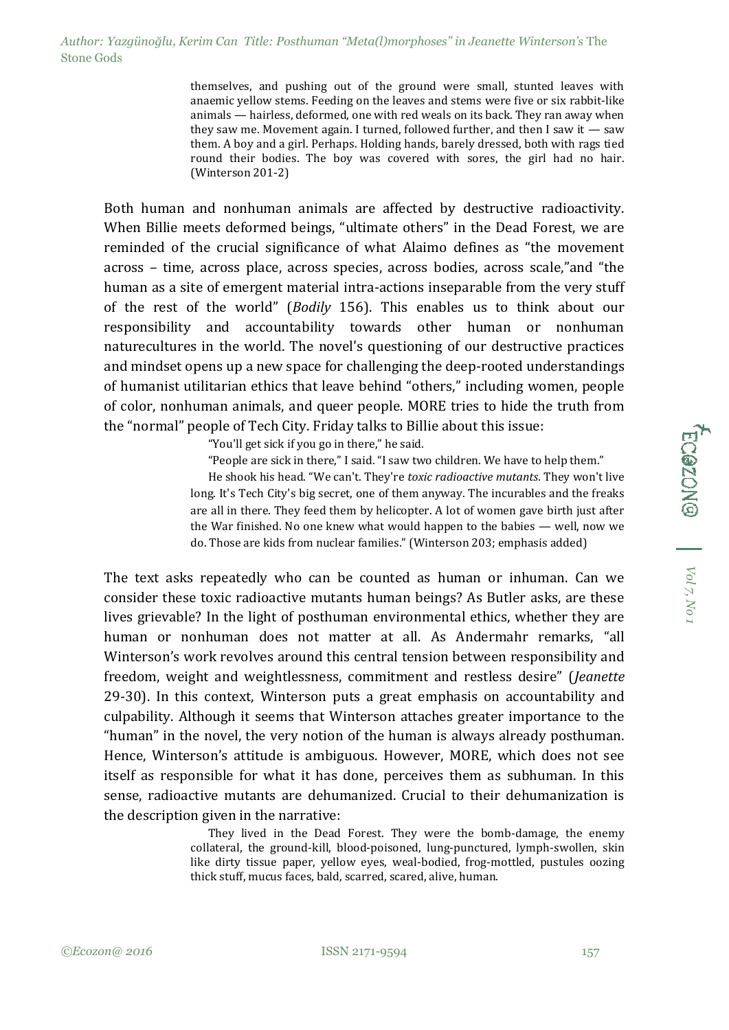themselves, and pushing out of the ground were small, stunted leaves with anaemic yellow stems. Feeding on the leaves and stems were five or six rabbit-like animals — hairless, deformed, one with red weals on its back. They ran away when they saw me. Movement again. I turned, followed further, and then I saw it — saw them. A boy and a girl. Perhaps. Holding hands, barely dressed, both with rags tied round their bodies. The boy was covered with sores, the girl had no hair. (Winterson 201-2)

Both human and nonhuman animals are affected by destructive radioactivity. When Billie meets deformed beings, "ultimate others" in the Dead Forest, we are reminded of the crucial significance of what Alaimo defines as "the movement across – time, across place, across species, across bodies, across scale,"and "the human as a site of emergent material intra-actions inseparable from the very stuff of the rest of the world" (*Bodily* 156). This enables us to think about our responsibility and accountability towards other human or nonhuman naturecultures in the world. The novel's questioning of our destructive practices and mindset opens up a new space for challenging the deep-rooted understandings of humanist utilitarian ethics that leave behind "others," including women, people of color, nonhuman animals, and queer people. MORE tries to hide the truth from the "normal" people of Tech City. Friday talks to Billie about this issue:

"You'll get sick if you go in there," he said.

"People are sick in there," I said. "I saw two children. We have to help them."

He shook his head. "We can't. They're *toxic radioactive mutants*. They won't live long. It's Tech City's big secret, one of them anyway. The incurables and the freaks are all in there. They feed them by helicopter. A lot of women gave birth just after the War finished. No one knew what would happen to the babies — well, now we do. Those are kids from nuclear families." (Winterson 203; emphasis added)

The text asks repeatedly who can be counted as human or inhuman. Can we consider these toxic radioactive mutants human beings? As Butler asks, are these lives grievable? In the light of posthuman environmental ethics, whether they are human or nonhuman does not matter at all. As Andermahr remarks, "all Winterson's work revolves around this central tension between responsibility and freedom, weight and weightlessness, commitment and restless desire" (*Jeanette* 29-30). In this context, Winterson puts a great emphasis on accountability and culpability. Although it seems that Winterson attaches greater importance to the "human" in the novel, the very notion of the human is always already posthuman. Hence, Winterson's attitude is ambiguous. However, MORE, which does not see itself as responsible for what it has done, perceives them as subhuman. In this sense, radioactive mutants are dehumanized. Crucial to their dehumanization is the description given in the narrative:

> They lived in the Dead Forest. They were the bomb-damage, the enemy collateral, the ground-kill, blood-poisoned, lung-punctured, lymph-swollen, skin like dirty tissue paper, yellow eyes, weal-bodied, frog-mottled, pustules oozing thick stuff, mucus faces, bald, scarred, scared, alive, human.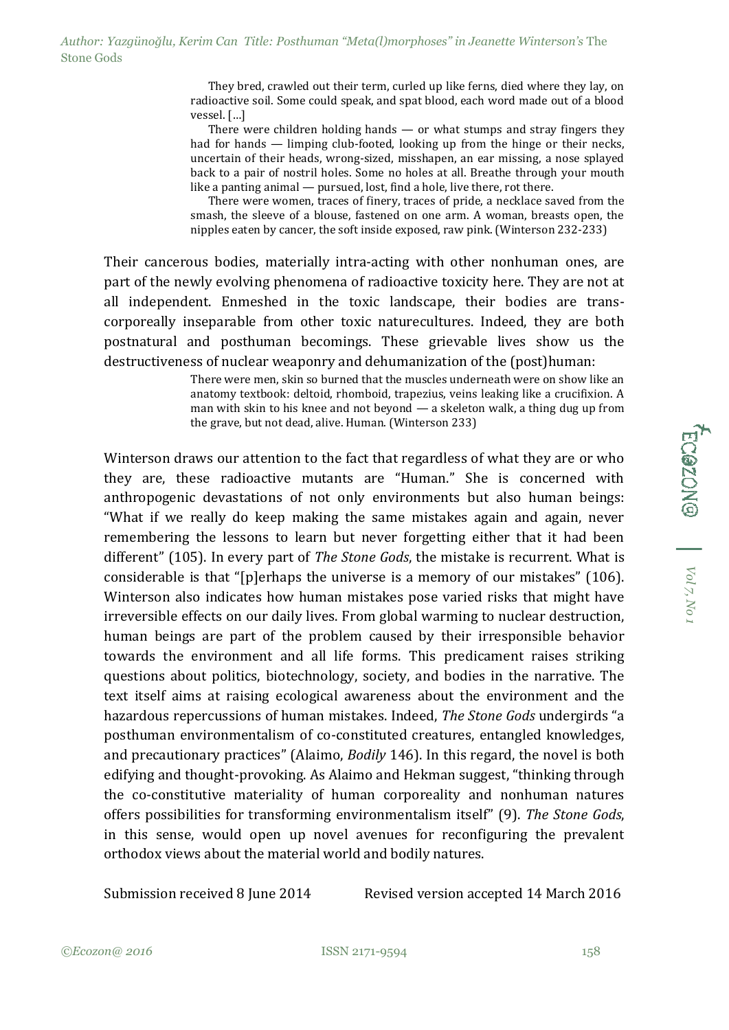They bred, crawled out their term, curled up like ferns, died where they lay, on radioactive soil. Some could speak, and spat blood, each word made out of a blood vessel. […]

There were children holding hands  $-$  or what stumps and stray fingers they had for hands — limping club-footed, looking up from the hinge or their necks, uncertain of their heads, wrong-sized, misshapen, an ear missing, a nose splayed back to a pair of nostril holes. Some no holes at all. Breathe through your mouth like a panting animal — pursued, lost, find a hole, live there, rot there.

There were women, traces of finery, traces of pride, a necklace saved from the smash, the sleeve of a blouse, fastened on one arm. A woman, breasts open, the nipples eaten by cancer, the soft inside exposed, raw pink. (Winterson 232-233)

Their cancerous bodies, materially intra-acting with other nonhuman ones, are part of the newly evolving phenomena of radioactive toxicity here. They are not at all independent. Enmeshed in the toxic landscape, their bodies are transcorporeally inseparable from other toxic naturecultures. Indeed, they are both postnatural and posthuman becomings. These grievable lives show us the destructiveness of nuclear weaponry and dehumanization of the (post)human:

> There were men, skin so burned that the muscles underneath were on show like an anatomy textbook: deltoid, rhomboid, trapezius, veins leaking like a crucifixion. A man with skin to his knee and not beyond — a skeleton walk, a thing dug up from the grave, but not dead, alive. Human. (Winterson 233)

Winterson draws our attention to the fact that regardless of what they are or who they are, these radioactive mutants are "Human." She is concerned with anthropogenic devastations of not only environments but also human beings: "What if we really do keep making the same mistakes again and again, never remembering the lessons to learn but never forgetting either that it had been different" (105). In every part of *The Stone Gods*, the mistake is recurrent. What is considerable is that "[p]erhaps the universe is a memory of our mistakes" (106). Winterson also indicates how human mistakes pose varied risks that might have irreversible effects on our daily lives. From global warming to nuclear destruction, human beings are part of the problem caused by their irresponsible behavior towards the environment and all life forms. This predicament raises striking questions about politics, biotechnology, society, and bodies in the narrative. The text itself aims at raising ecological awareness about the environment and the hazardous repercussions of human mistakes. Indeed, *The Stone Gods* undergirds "a posthuman environmentalism of co-constituted creatures, entangled knowledges, and precautionary practices" (Alaimo, *Bodily* 146). In this regard, the novel is both edifying and thought-provoking. As Alaimo and Hekman suggest, "thinking through the co-constitutive materiality of human corporeality and nonhuman natures offers possibilities for transforming environmentalism itself" (9). *The Stone Gods*, in this sense, would open up novel avenues for reconfiguring the prevalent orthodox views about the material world and bodily natures.

Submission received 8 June 2014 Revised version accepted 14 March 2016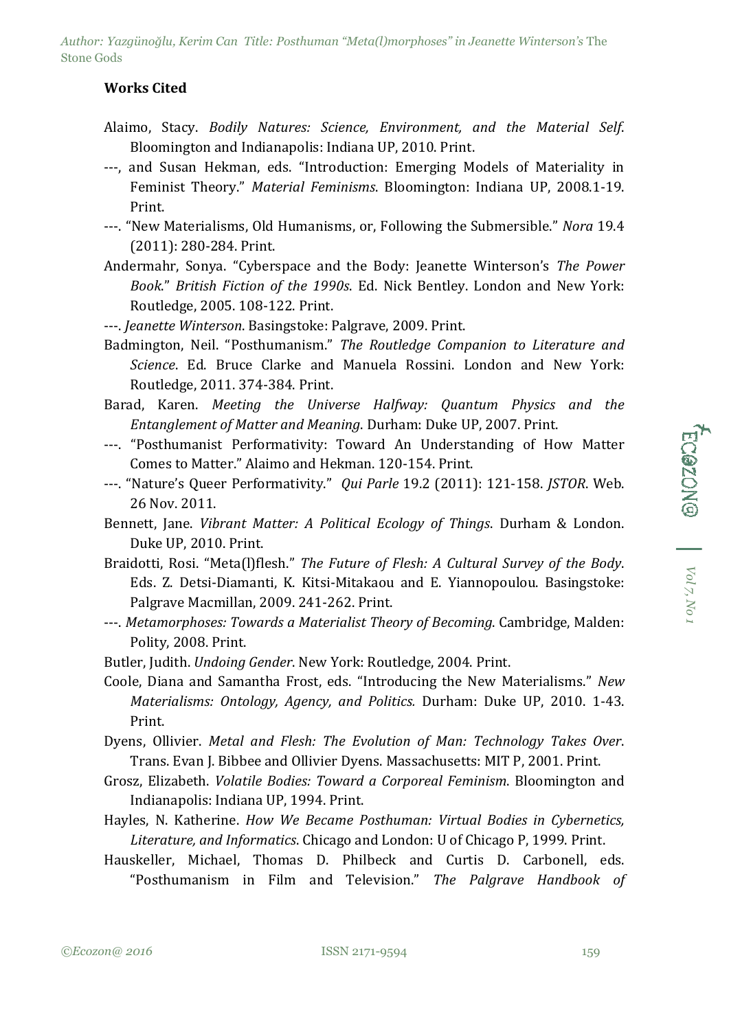*Author: Yazgünoğlu, Kerim Can Title: Posthuman "Meta(l)morphoses" in Jeanette Winterson's* The Stone Gods

## **Works Cited**

- Alaimo, Stacy. *Bodily Natures: Science, Environment, and the Material Self*. Bloomington and Indianapolis: Indiana UP, 2010. Print.
- ---, and Susan Hekman, eds. "Introduction: Emerging Models of Materiality in Feminist Theory." *Material Feminisms*. Bloomington: Indiana UP, 2008.1-19. Print.
- ---. "New Materialisms, Old Humanisms, or, Following the Submersible." *Nora* 19.4 (2011): 280-284. Print.
- Andermahr, Sonya. "Cyberspace and the Body: Jeanette Winterson's *The Power Book*." *British Fiction of the 1990s*. Ed. Nick Bentley. London and New York: Routledge, 2005. 108-122. Print.
- ---. *Jeanette Winterson*. Basingstoke: Palgrave, 2009. Print.
- Badmington, Neil. "Posthumanism." *The Routledge Companion to Literature and Science*. Ed. Bruce Clarke and Manuela Rossini. London and New York: Routledge, 2011. 374-384. Print.
- Barad, Karen. *Meeting the Universe Halfway: Quantum Physics and the Entanglement of Matter and Meaning*. Durham: Duke UP, 2007. Print.
- ---. "Posthumanist Performativity: Toward An Understanding of How Matter Comes to Matter." Alaimo and Hekman. 120-154. Print.
- ---. "Nature's Queer Performativity." *Qui Parle* 19.2 (2011): 121-158. *JSTOR*. Web. 26 Nov. 2011.
- Bennett, Jane. *Vibrant Matter: A Political Ecology of Things*. Durham & London. Duke UP, 2010. Print.
- Braidotti, Rosi. "Meta(l)flesh." *The Future of Flesh: A Cultural Survey of the Body*. Eds. Z. Detsi-Diamanti, K. Kitsi-Mitakaou and E. Yiannopoulou. Basingstoke: Palgrave Macmillan, 2009. 241-262. Print.
- ---. *Metamorphoses: Towards a Materialist Theory of Becoming*. Cambridge, Malden: Polity, 2008. Print.
- Butler, Judith. *Undoing Gender*. New York: Routledge, 2004. Print.
- Coole, Diana and Samantha Frost, eds. "Introducing the New Materialisms." *New Materialisms: Ontology, Agency, and Politics.* Durham: Duke UP, 2010. 1-43. Print.
- Dyens, Ollivier. *Metal and Flesh: The Evolution of Man: Technology Takes Over*. Trans. Evan J. Bibbee and Ollivier Dyens. Massachusetts: MIT P, 2001. Print.
- Grosz, Elizabeth. *Volatile Bodies: Toward a Corporeal Feminism*. Bloomington and Indianapolis: Indiana UP, 1994. Print.
- Hayles, N. Katherine. *How We Became Posthuman: Virtual Bodies in Cybernetics, Literature, and Informatics*. Chicago and London: U of Chicago P, 1999. Print.
- Hauskeller, Michael, Thomas D. Philbeck and Curtis D. Carbonell, eds. "Posthumanism in Film and Television." *The Palgrave Handbook of*